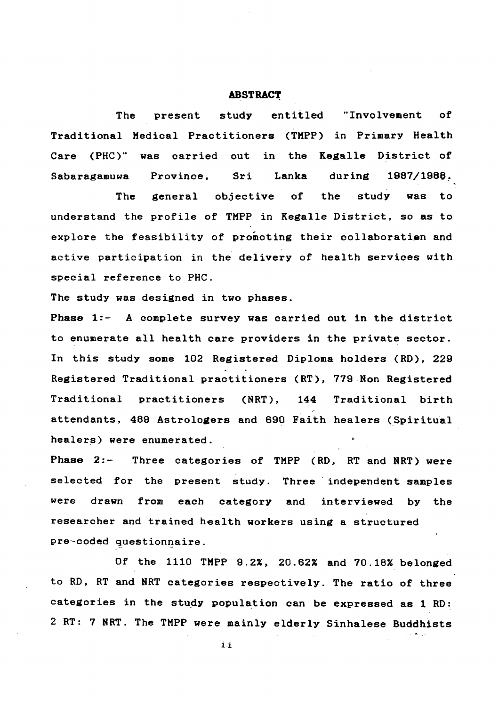## **ABSTRACT**

**The present study entitled "Involvement of Traditional Medical Practitioners (TMPP) in Primary Health Care (PHC)" was carried out in the Kegalle District of Sabaragamuwa Province, Sri Lanka during 1887/198®.**

## **to RD, RT and NRT categories respectively. The ratio of three categories in the study population can be expressed as 1 RD: 2 RT: 7 NRT. The TMPP were mainly elderly Sinhalese Buddhists** $\mathbf{i} \cdot \mathbf{i}$

**The general objective of the study was to understand the profile of TMPP in Kegalle District, so as to explore the feasibility of promoting their collaboration and active participation in the delivery of health services with** special reference to PHC. **The study was designed in two phases. Phase 1:- A complete survey was carried out in the district to enumerate all health care providers in the private sector. In this study some 102 Registered Diploma holders (RD), 229 Registered Traditional practitioners (RT), 779 Non Registered Traditional practitioners (NRT), 144 Traditional birth attendants, 489 Astrologers and 690 Faith healers (Spiritual healers) were enumerated. Phase 2:- Three categories of TMPP (RD, RT and NRT) were selected for the present study. Three independent samples were drawn from each category and interviewed by the researcher and trained health workers using a structured pre-coded questionnaire.**

**Of the 1110 TMPP 9.2%, 20.62% and 70.18% belonged**